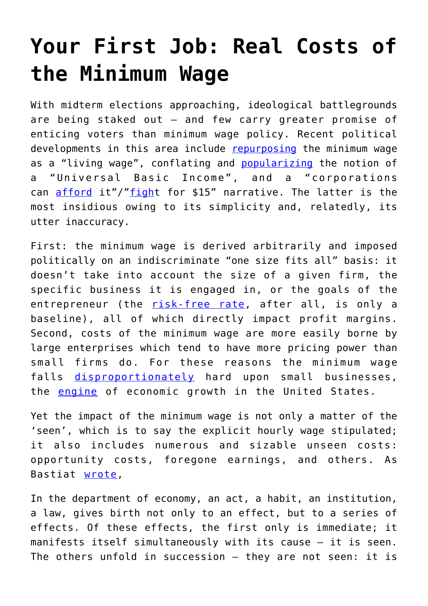## **[Your First Job: Real Costs of](https://intellectualtakeout.org/2018/09/your-first-job-real-costs-of-the-minimum-wage/) [the Minimum Wage](https://intellectualtakeout.org/2018/09/your-first-job-real-costs-of-the-minimum-wage/)**

With midterm elections approaching, ideological battlegrounds are being staked out — and few carry greater promise of enticing voters than minimum wage policy. Recent political developments in this area include [repurposing](https://www.huffingtonpost.com/aaron-pacitti/its-time-to-make-the-mini_b_9021136.html) the minimum wage as a "living wage", conflating and **[popularizing](https://www.huffingtonpost.com/scott-santens/minimum-wages-vs-universal-basic-income_b_7957850.html)** the notion of a "Universal Basic Income", and a "corporations can [afford](http://www.latimes.com/opinion/op-ed/la-oe-dayen-minimum-wage-subway-sandwich-20180105-story.html) it"/"[fight](https://www.cnn.com/2018/04/13/us/fight-for-15-birmingham/index.html) for \$15" narrative. The latter is the most insidious owing to its simplicity and, relatedly, its utter inaccuracy.

First: the minimum wage is derived arbitrarily and imposed politically on an indiscriminate "one size fits all" basis: it doesn't take into account the size of a given firm, the specific business it is engaged in, or the goals of the entrepreneur (the [risk-free rate,](https://digitalcommons.pepperdine.edu/cgi/viewcontent.cgi?article=1239&context=jef) after all, is only a baseline), all of which directly impact profit margins. Second, costs of the minimum wage are more easily borne by large enterprises which tend to have more pricing power than small firms do. For these reasons the minimum wage falls [disproportionately](https://www.forbes.com/sites/eshachhabra/2017/05/30/small-businesses-struggling-with-15-minimum-wage-new-site-reports/#64cb6ab411ad) hard upon small businesses, the [engine](https://www.sba.gov/advocacy/small-businesses-drive-job-growth-us) of economic growth in the United States.

Yet the impact of the minimum wage is not only a matter of the 'seen', which is to say the explicit hourly wage stipulated; it also includes numerous and sizable unseen costs: opportunity costs, foregone earnings, and others. As Bastiat [wrote](http://bastiat.org/en/twisatwins.html),

In the department of economy, an act, a habit, an institution, a law, gives birth not only to an effect, but to a series of effects. Of these effects, the first only is immediate; it manifests itself simultaneously with its cause — it is seen. The others unfold in succession — they are not seen: it is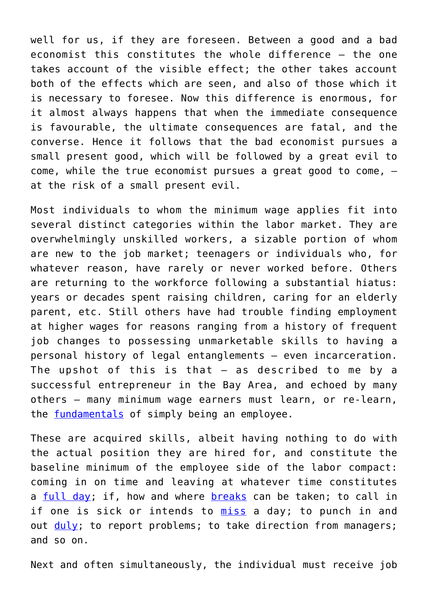well for us, if they are foreseen. Between a good and a bad economist this constitutes the whole difference — the one takes account of the visible effect; the other takes account both of the effects which are seen, and also of those which it is necessary to foresee. Now this difference is enormous, for it almost always happens that when the immediate consequence is favourable, the ultimate consequences are fatal, and the converse. Hence it follows that the bad economist pursues a small present good, which will be followed by a great evil to come, while the true economist pursues a great good to come,  $$ at the risk of a small present evil.

Most individuals to whom the minimum wage applies fit into several distinct categories within the labor market. They are overwhelmingly unskilled workers, a sizable portion of whom are new to the job market; teenagers or individuals who, for whatever reason, have rarely or never worked before. Others are returning to the workforce following a substantial hiatus: years or decades spent raising children, caring for an elderly parent, etc. Still others have had trouble finding employment at higher wages for reasons ranging from a history of frequent job changes to possessing unmarketable skills to having a personal history of legal entanglements — even incarceration. The upshot of this is that  $-$  as described to me by a successful entrepreneur in the Bay Area, and echoed by many others — many minimum wage earners must learn, or re-learn, the **fundamentals** of simply being an employee.

These are acquired skills, albeit having nothing to do with the actual position they are hired for, and constitute the baseline minimum of the employee side of the labor compact: coming in on time and leaving at whatever time constitutes a [full day](https://www.inc.com/kenny-kline/tardiness-costs-american-economy-a-shocking-amount-of-money-each-year.html); if, how and where **breaks** can be taken; to call in if one is sick or intends to [miss](https://www.forbes.com/sites/investopedia/2013/07/10/the-causes-and-costs-of-absenteeism-in-the-workplace/#7fef5e633eb6) a day; to punch in and out [duly](https://www.forbes.com/sites/ashikahmed/2018/01/19/how-to-insure-against-time-theft/#73c461d95ac8); to report problems; to take direction from managers; and so on.

Next and often simultaneously, the individual must receive job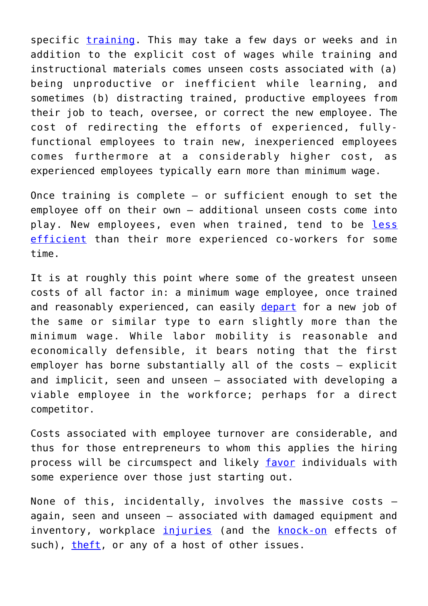specific [training](https://www.td.org/magazines/td-magazine/2014-state-of-the-industry-report-spending-on-employee-training-remains-a-priority). This may take a few days or weeks and in addition to the explicit cost of wages while training and instructional materials comes unseen costs associated with (a) being unproductive or inefficient while learning, and sometimes (b) distracting trained, productive employees from their job to teach, oversee, or correct the new employee. The cost of redirecting the efforts of experienced, fullyfunctional employees to train new, inexperienced employees comes furthermore at a considerably higher cost, as experienced employees typically earn more than minimum wage.

Once training is complete  $-$  or sufficient enough to set the employee off on their own — additional unseen costs come into play. New employees, even when trained, tend to be [less](https://www.panopto.com/blog/how-much-time-is-lost-to-knowledge-sharing-inefficiencies-at-work/) [efficient](https://www.panopto.com/blog/how-much-time-is-lost-to-knowledge-sharing-inefficiencies-at-work/) than their more experienced co-workers for some time.

It is at roughly this point where some of the greatest unseen costs of all factor in: a minimum wage employee, once trained and reasonably experienced, can easily [depart](https://www.insperity.com/blog/5-hidden-costs-employee-turnover/) for a new job of the same or similar type to earn slightly more than the minimum wage. While labor mobility is reasonable and economically defensible, it bears noting that the first employer has borne substantially all of the costs — explicit and implicit, seen and unseen — associated with developing a viable employee in the workforce; perhaps for a direct competitor.

Costs associated with employee turnover are considerable, and thus for those entrepreneurs to whom this applies the hiring process will be circumspect and likely [favor](https://www.heritage.org/jobs-and-labor/report/minimum-wage-hikes-hurt-unskilled-and-disadvantaged-workers-job-prospects) individuals with some experience over those just starting out.

None of this, incidentally, involves the massive costs again, seen and unseen — associated with damaged equipment and inventory, workplace [injuries](https://www.safetyandhealthmagazine.com/articles/14053-new-workers-higher-risk) (and the [knock-on](https://www.concentra.com/resource-center/articles/3-hidden-costs-of-employee-injuries/) effects of such), [theft](https://www.cnbc.com/2017/09/12/workplace-crime-costs-us-businesses-50-billion-a-year.html), or any of a host of other issues.